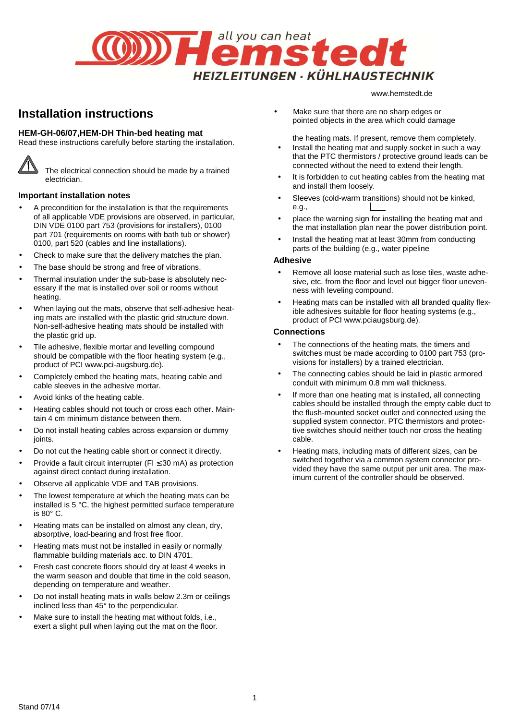

# **Installation instructions**

# **HEM-GH-06/07,HEM-DH Thin-bed heating mat**

Read these instructions carefully before starting the installation.



The electrical connection should be made by a trained electrician.

#### **Important installation notes**

- A precondition for the installation is that the requirements of all applicable VDE provisions are observed, in particular, DIN VDE 0100 part 753 (provisions for installers), 0100 part 701 (requirements on rooms with bath tub or shower) 0100, part 520 (cables and line installations).
- Check to make sure that the delivery matches the plan.
- The base should be strong and free of vibrations.
- Thermal insulation under the sub-base is absolutely necessary if the mat is installed over soil or rooms without heating.
- When laying out the mats, observe that self-adhesive heating mats are installed with the plastic grid structure down. Non-self-adhesive heating mats should be installed with the plastic grid up.
- Tile adhesive, flexible mortar and levelling compound should be compatible with the floor heating system (e.g., product of PCI www.pci-augsburg.de).
- Completely embed the heating mats, heating cable and cable sleeves in the adhesive mortar.
- Avoid kinks of the heating cable.
- Heating cables should not touch or cross each other. Maintain 4 cm minimum distance between them.
- Do not install heating cables across expansion or dummy joints.
- Do not cut the heating cable short or connect it directly.
- Provide a fault circuit interrupter (FI ≤ 30 mA) as protection against direct contact during installation.
- Observe all applicable VDE and TAB provisions.
- The lowest temperature at which the heating mats can be installed is 5 °C, the highest permitted surface temperature is 80° C.
- Heating mats can be installed on almost any clean, dry, absorptive, load-bearing and frost free floor.
- Heating mats must not be installed in easily or normally flammable building materials acc. to DIN 4701.
- Fresh cast concrete floors should dry at least 4 weeks in the warm season and double that time in the cold season, depending on temperature and weather.
- Do not install heating mats in walls below 2.3m or ceilings inclined less than 45° to the perpendicular.
- Make sure to install the heating mat without folds, i.e., exert a slight pull when laying out the mat on the floor.

• Make sure that there are no sharp edges or pointed objects in the area which could damage

the heating mats. If present, remove them completely.

www.hemstedt.de

- Install the heating mat and supply socket in such a way that the PTC thermistors / protective ground leads can be connected without the need to extend their length.
- It is forbidden to cut heating cables from the heating mat and install them loosely.
- Sleeves (cold-warm transitions) should not be kinked, e.g.,
- place the warning sign for installing the heating mat and the mat installation plan near the power distribution point.
- Install the heating mat at least 30mm from conducting parts of the building (e.g., water pipeline

#### **Adhesive**

- Remove all loose material such as lose tiles, waste adhesive, etc. from the floor and level out bigger floor unevenness with leveling compound.
- Heating mats can be installed with all branded quality flexible adhesives suitable for floor heating systems (e.g., product of PCI www.pciaugsburg.de).

#### **Connections**

- The connections of the heating mats, the timers and switches must be made according to 0100 part 753 (provisions for installers) by a trained electrician.
- The connecting cables should be laid in plastic armored conduit with minimum 0.8 mm wall thickness.
- If more than one heating mat is installed, all connecting cables should be installed through the empty cable duct to the flush-mounted socket outlet and connected using the supplied system connector. PTC thermistors and protective switches should neither touch nor cross the heating cable.
- Heating mats, including mats of different sizes, can be switched together via a common system connector provided they have the same output per unit area. The maximum current of the controller should be observed.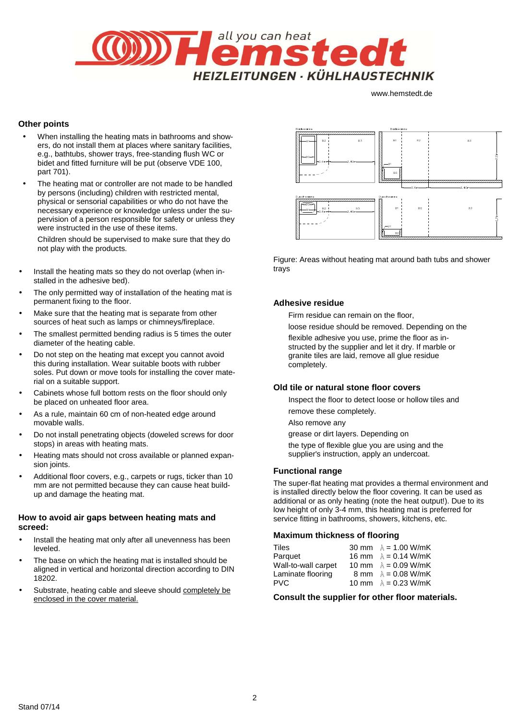

# **Other points**

- When installing the heating mats in bathrooms and showers, do not install them at places where sanitary facilities, e.g., bathtubs, shower trays, free-standing flush WC or bidet and fitted furniture will be put (observe VDE 100, part 701).
- The heating mat or controller are not made to be handled by persons (including) children with restricted mental, physical or sensorial capabilities or who do not have the necessary experience or knowledge unless under the supervision of a person responsible for safety or unless they were instructed in the use of these items.

Children should be supervised to make sure that they do not play with the products.

- Install the heating mats so they do not overlap (when installed in the adhesive bed).
- The only permitted way of installation of the heating mat is permanent fixing to the floor.
- Make sure that the heating mat is separate from other sources of heat such as lamps or chimneys/fireplace.
- The smallest permitted bending radius is 5 times the outer diameter of the heating cable.
- Do not step on the heating mat except you cannot avoid this during installation. Wear suitable boots with rubber soles. Put down or move tools for installing the cover material on a suitable support.
- Cabinets whose full bottom rests on the floor should only be placed on unheated floor area.
- As a rule, maintain 60 cm of non-heated edge around movable walls.
- Do not install penetrating objects (doweled screws for door stops) in areas with heating mats.
- Heating mats should not cross available or planned expansion joints.
- Additional floor covers, e.g., carpets or rugs, ticker than 10 mm are not permitted because they can cause heat buildup and damage the heating mat.

#### **How to avoid air gaps between heating mats and screed:**

- Install the heating mat only after all unevenness has been leveled.
- The base on which the heating mat is installed should be aligned in vertical and horizontal direction according to DIN 18202.
- Substrate, heating cable and sleeve should completely be enclosed in the cover material.



Figure: Areas without heating mat around bath tubs and shower trays

#### **Adhesive residue**

Firm residue can remain on the floor,

 loose residue should be removed. Depending on the flexible adhesive you use, prime the floor as in structed by the supplier and let it dry. If marble or granite tiles are laid, remove all glue residue completely.

# **Old tile or natural stone floor covers**

 Inspect the floor to detect loose or hollow tiles and remove these completely.

Also remove any

grease or dirt layers. Depending on

 the type of flexible glue you are using and the supplier's instruction, apply an undercoat.

#### **Functional range**

The super-flat heating mat provides a thermal environment and is installed directly below the floor covering. It can be used as additional or as only heating (note the heat output!). Due to its low height of only 3-4 mm, this heating mat is preferred for service fitting in bathrooms, showers, kitchens, etc.

#### **Maximum thickness of flooring**

| Tiles               | 30 mm $\lambda$ = 1.00 W/mK |
|---------------------|-----------------------------|
| Parquet             | 16 mm $\lambda = 0.14$ W/mK |
| Wall-to-wall carpet | 10 mm $\lambda = 0.09$ W/mK |
| Laminate flooring   | 8 mm $\lambda$ = 0.08 W/mK  |
| <b>PVC</b>          | 10 mm $\lambda = 0.23$ W/mK |

**Consult the supplier for other floor materials.**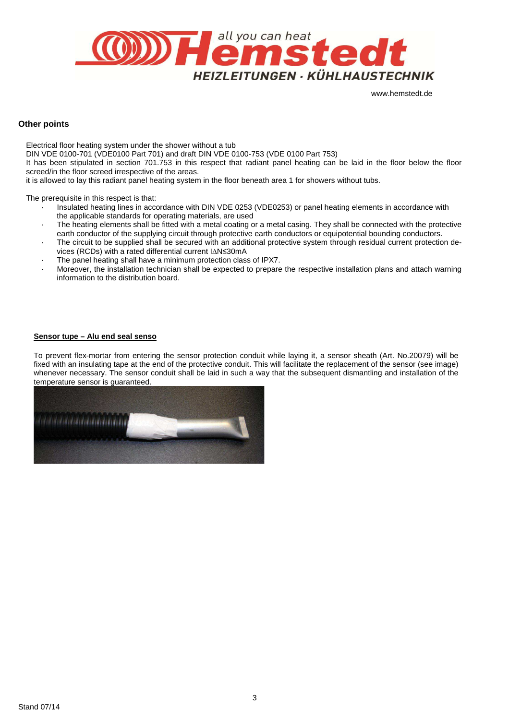

#### **Other points**

Electrical floor heating system under the shower without a tub DIN VDE 0100-701 (VDE0100 Part 701) and draft DIN VDE 0100-753 (VDE 0100 Part 753) It has been stipulated in section 701.753 in this respect that radiant panel heating can be laid in the floor below the floor screed/in the floor screed irrespective of the areas. it is allowed to lay this radiant panel heating system in the floor beneath area 1 for showers without tubs.

The prerequisite in this respect is that:

- · Insulated heating lines in accordance with DIN VDE 0253 (VDE0253) or panel heating elements in accordance with the applicable standards for operating materials, are used
- · The heating elements shall be fitted with a metal coating or a metal casing. They shall be connected with the protective earth conductor of the supplying circuit through protective earth conductors or equipotential bounding conductors.
- The circuit to be supplied shall be secured with an additional protective system through residual current protection devices (RCDs) with a rated differential current I∆N≤30mA
- The panel heating shall have a minimum protection class of IPX7.
- · Moreover, the installation technician shall be expected to prepare the respective installation plans and attach warning information to the distribution board.

#### **Sensor tupe – Alu end seal senso**

To prevent flex-mortar from entering the sensor protection conduit while laying it, a sensor sheath (Art. No.20079) will be fixed with an insulating tape at the end of the protective conduit. This will facilitate the replacement of the sensor (see image) whenever necessary. The sensor conduit shall be laid in such a way that the subsequent dismantling and installation of the temperature sensor is guaranteed.

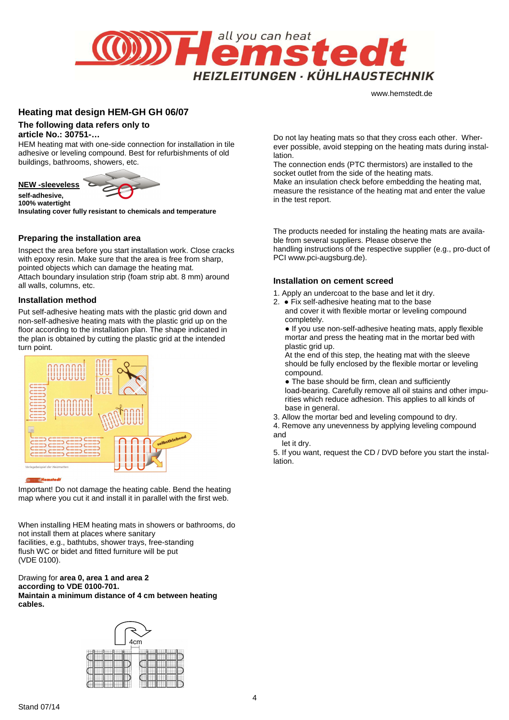

# **Heating mat design HEM-GH GH 06/07**

#### **The following data refers only to**

#### **article No.: 30751-…**

HEM heating mat with one-side connection for installation in tile adhesive or leveling compound. Best for refurbishments of old buildings, bathrooms, showers, etc.



**self-adhesive, 100% watertight** 

**Insulating cover fully resistant to chemicals and temperature** 

#### **Preparing the installation area**

Inspect the area before you start installation work. Close cracks with epoxy resin. Make sure that the area is free from sharp, pointed objects which can damage the heating mat. Attach boundary insulation strip (foam strip abt. 8 mm) around all walls, columns, etc.

#### **Installation method**

Put self-adhesive heating mats with the plastic grid down and non-self-adhesive heating mats with the plastic grid up on the floor according to the installation plan. The shape indicated in the plan is obtained by cutting the plastic grid at the intended turn point.



Important! Do not damage the heating cable. Bend the heating map where you cut it and install it in parallel with the first web.

When installing HEM heating mats in showers or bathrooms, do not install them at places where sanitary facilities, e.g., bathtubs, shower trays, free-standing flush WC or bidet and fitted furniture will be put (VDE 0100).

#### Drawing for **area 0, area 1 and area 2 according to VDE 0100-701. Maintain a minimum distance of 4 cm between heating cables.**



Do not lay heating mats so that they cross each other. Wherever possible, avoid stepping on the heating mats during installation.

The connection ends (PTC thermistors) are installed to the socket outlet from the side of the heating mats.

Make an insulation check before embedding the heating mat, measure the resistance of the heating mat and enter the value in the test report.

The products needed for instaling the heating mats are available from several suppliers. Please observe the handling instructions of the respective supplier (e.g., pro-duct of PCI www.pci-augsburg.de).

#### **Installation on cement screed**

- 1. Apply an undercoat to the base and let it dry.
- 2. Fix self-adhesive heating mat to the base and cover it with flexible mortar or leveling compound completely.

● If you use non-self-adhesive heating mats, apply flexible mortar and press the heating mat in the mortar bed with plastic grid up.

At the end of this step, the heating mat with the sleeve should be fully enclosed by the flexible mortar or leveling compound.

• The base should be firm, clean and sufficiently load-bearing. Carefully remove all oil stains and other impurities which reduce adhesion. This applies to all kinds of base in general.

3. Allow the mortar bed and leveling compound to dry.

4. Remove any unevenness by applying leveling compound and

let it dry.

5. If you want, request the CD / DVD before you start the installation.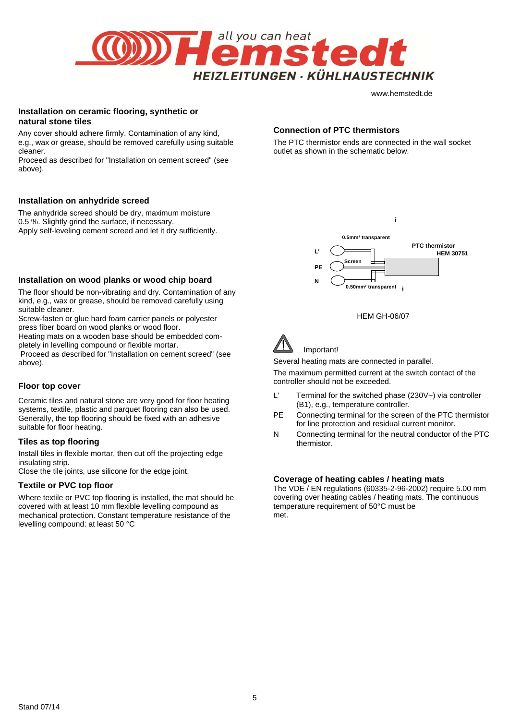

#### **Installation on ceramic flooring, synthetic or natural stone tiles**

Any cover should adhere firmly. Contamination of any kind, e.g., wax or grease, should be removed carefully using suitable cleaner.

Proceed as described for "Installation on cement screed" (see above).

#### **Installation on anhydride screed**

The anhydride screed should be dry, maximum moisture 0.5 %. Slightly grind the surface, if necessary. Apply self-leveling cement screed and let it dry sufficiently.

#### **Installation on wood planks or wood chip board**

The floor should be non-vibrating and dry. Contamination of any kind, e.g., wax or grease, should be removed carefully using suitable cleaner.

Screw-fasten or glue hard foam carrier panels or polyester press fiber board on wood planks or wood floor.

Heating mats on a wooden base should be embedded completely in levelling compound or flexible mortar.

 Proceed as described for "Installation on cement screed" (see above).

#### **Floor top cover**

Ceramic tiles and natural stone are very good for floor heating systems, textile, plastic and parquet flooring can also be used. Generally, the top flooring should be fixed with an adhesive suitable for floor heating.

#### **Tiles as top flooring**

Install tiles in flexible mortar, then cut off the projecting edge insulating strip.

Close the tile joints, use silicone for the edge joint.

# **Textile or PVC top floor**

Where textile or PVC top flooring is installed, the mat should be covered with at least 10 mm flexible levelling compound as mechanical protection. Constant temperature resistance of the levelling compound: at least 50 °C

#### **Connection of PTC thermistors**

The PTC thermistor ends are connected in the wall socket outlet as shown in the schematic below.



÷

#### HEM GH-06/07



Important!

Several heating mats are connected in parallel.

The maximum permitted current at the switch contact of the controller should not be exceeded.

- L' Terminal for the switched phase (230V~) via controller (B1), e.g., temperature controller.
- PE Connecting terminal for the screen of the PTC thermistor for line protection and residual current monitor.
- N Connecting terminal for the neutral conductor of the PTC thermistor.

#### **Coverage of heating cables / heating mats**

The VDE / EN regulations (60335-2-96-2002) require 5.00 mm covering over heating cables / heating mats. The continuous temperature requirement of 50°C must be met.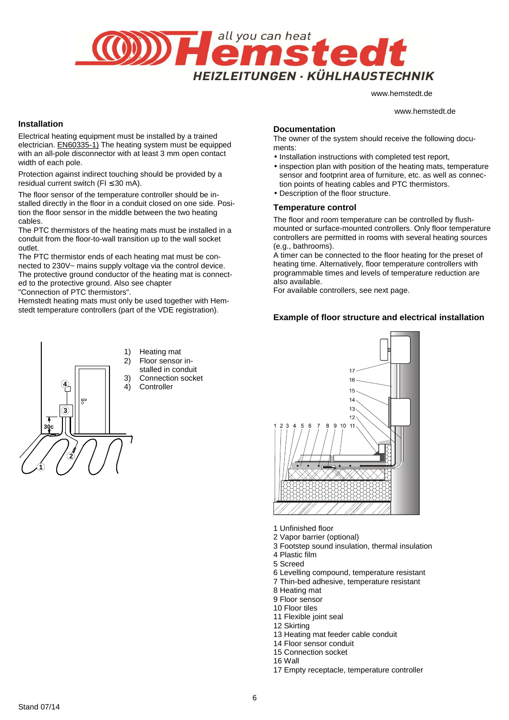

www.hemstedt.de

#### **Installation**

Electrical heating equipment must be installed by a trained electrician. EN60335-1) The heating system must be equipped with an all-pole disconnector with at least 3 mm open contact width of each pole.

Protection against indirect touching should be provided by a residual current switch ( $FI \leq 30$  mA).

The floor sensor of the temperature controller should be installed directly in the floor in a conduit closed on one side. Position the floor sensor in the middle between the two heating cables.

The PTC thermistors of the heating mats must be installed in a conduit from the floor-to-wall transition up to the wall socket outlet.

The PTC thermistor ends of each heating mat must be connected to 230V~ mains supply voltage via the control device. The protective ground conductor of the heating mat is connected to the protective ground. Also see chapter "Connection of PTC thermistors".

Hemstedt heating mats must only be used together with Hemstedt temperature controllers (part of the VDE registration).

# **Documentation**

The owner of the system should receive the following documents:

- Installation instructions with completed test report,
- inspection plan with position of the heating mats, temperature sensor and footprint area of furniture, etc. as well as connection points of heating cables and PTC thermistors.
- Description of the floor structure.

#### **Temperature control**

The floor and room temperature can be controlled by flushmounted or surface-mounted controllers. Only floor temperature controllers are permitted in rooms with several heating sources (e.g., bathrooms).

A timer can be connected to the floor heating for the preset of heating time. Alternatively, floor temperature controllers with programmable times and levels of temperature reduction are also available.

For available controllers, see next page.

# **Example of floor structure and electrical installation**



- 1) Heating mat 2) Floor sensor installed in conduit
- 3) Connection socket<br>4) Controller
	- **Controller**



- 1 Unfinished floor
- 2 Vapor barrier (optional)
- 3 Footstep sound insulation, thermal insulation
- 4 Plastic film
- 5 Screed
- 6 Levelling compound, temperature resistant
- 7 Thin-bed adhesive, temperature resistant
- 8 Heating mat
- 9 Floor sensor
- 10 Floor tiles
- 11 Flexible joint seal
- 12 Skirting
- 13 Heating mat feeder cable conduit
- 14 Floor sensor conduit
- 15 Connection socket
- 16 Wall
- 17 Empty receptacle, temperature controller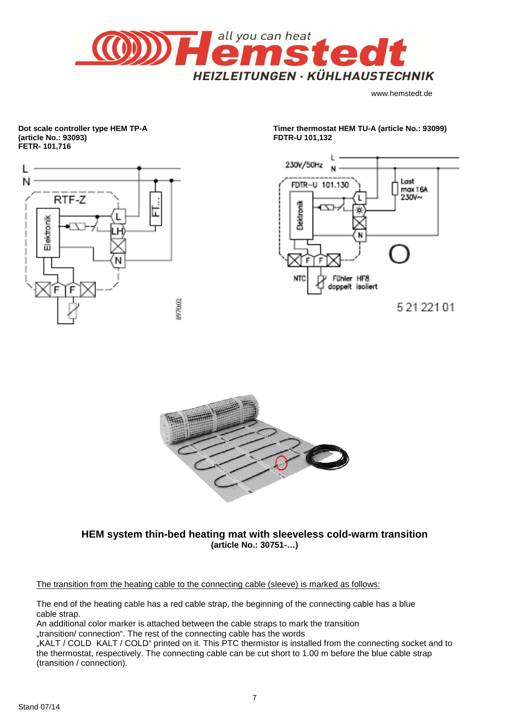

**Dot scale controller type HEM TP-A (article No.: 93093) FETR- 101,716** 



**Timer thermostat HEM TU-A (article No.: 93099) FDTR-U 101,132** 



<sup>5 21 2 21 01</sup> 



**HEM system thin-bed heating mat with sleeveless cold-warm transition (article No.: 30751-…)** 

The transition from the heating cable to the connecting cable (sleeve) is marked as follows:

The end of the heating cable has a red cable strap, the beginning of the connecting cable has a blue cable strap.

An additional color marker is attached between the cable straps to mark the transition

"transition/ connection". The rest of the connecting cable has the words

"KALT / COLD KALT / COLD" printed on it. This PTC thermistor is installed from the connecting socket and to the thermostat, respectively. The connecting cable can be cut short to 1.00 m before the blue cable strap (transition / connection).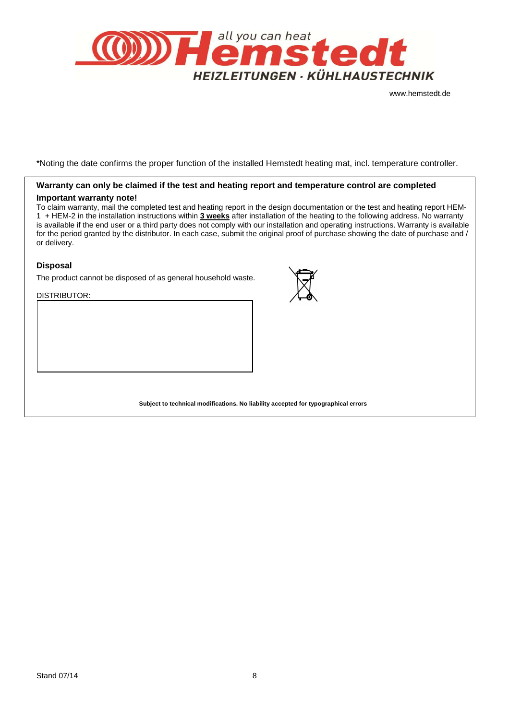

\*Noting the date confirms the proper function of the installed Hemstedt heating mat, incl. temperature controller.

# **Warranty can only be claimed if the test and heating report and temperature control are completed Important warranty note!**

To claim warranty, mail the completed test and heating report in the design documentation or the test and heating report HEM-1 + HEM-2 in the installation instructions within **3 weeks** after installation of the heating to the following address. No warranty is available if the end user or a third party does not comply with our installation and operating instructions. Warranty is available for the period granted by the distributor. In each case, submit the original proof of purchase showing the date of purchase and / or delivery.

# **Disposal**

The product cannot be disposed of as general household waste.

DISTRIBUTOR:



**Subject to technical modifications. No liability accepted for typographical errors**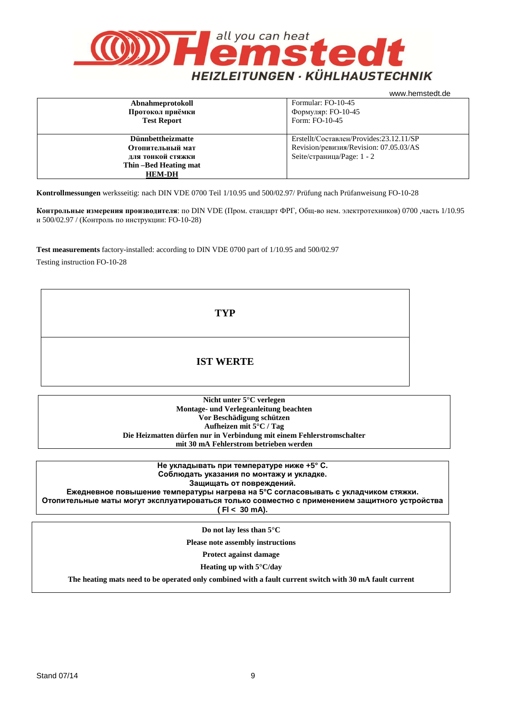

| Formular: FO-10-45<br>Abnahmeprotokoll<br>Формуляр: FO-10-45<br>Протокол приёмки<br>Form: FO-10-45<br><b>Test Report</b> |  |  |  |
|--------------------------------------------------------------------------------------------------------------------------|--|--|--|
|                                                                                                                          |  |  |  |
|                                                                                                                          |  |  |  |
|                                                                                                                          |  |  |  |
|                                                                                                                          |  |  |  |
| Erstellt/Составлен/Provides:23.12.11/SP<br><b>Dünnbettheizmatte</b>                                                      |  |  |  |
| Revision/ревизия/Revision: 07.05.03/AS<br>Отопительный мат                                                               |  |  |  |
| Seite/страница/Page: 1 - 2<br>для тонкой стяжки                                                                          |  |  |  |
| Thin -Bed Heating mat                                                                                                    |  |  |  |
| <b>HEM-DH</b>                                                                                                            |  |  |  |

**Kontrollmessungen** werksseitig: nach DIN VDE 0700 Teil 1/10.95 und 500/02.97/ Prüfung nach Prüfanweisung FO-10-28

**Контрольные измерения производителя**: по DIN VDE (Пром. стандарт ФРГ, Общ-во нем. электротехников) 0700 ,часть 1/10.95 и 500/02.97 / (Контроль по инструкции: FO-10-28)

**Test measurements** factory-installed: according to DIN VDE 0700 part of 1/10.95 and 500/02.97

Testing instruction FO-10-28

**TYP** 

# **IST WERTE**

**Nicht unter 5°C verlegen Montage- und Verlegeanleitung beachten Vor Beschädigung schützen Aufheizen mit 5°C / Tag Die Heizmatten dürfen nur in Verbindung mit einem Fehlerstromschalter mit 30 mA Fehlerstrom betrieben werden**

> **Не укладывать при температуре ниже +5° С. Соблюдать указания по монтажу и укладке. Защищать от повреждений.**

**Ежедневное повышение температуры нагрева на 5°C согласовывать с укладчиком стяжки. Отопительные маты могут эксплуатироваться только совместно с применением защитного устройства ( Fl < 30 mA).**

**Do not lay less than 5°C** 

**Please note assembly instructions** 

**Protect against damage** 

**Heating up with 5°C/day** 

**The heating mats need to be operated only combined with a fault current switch with 30 mA fault current**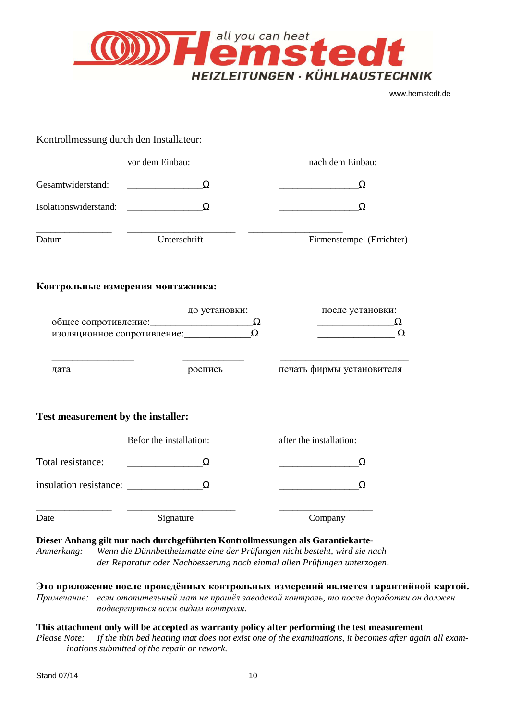

# Kontrollmessung durch den Installateur: vor dem Einbau: nach dem Einbau: Gesamtwiderstand:  $\qquad \qquad \Omega$ Isolationswiderstand:  $\Omega$  Δ \_\_\_\_\_\_\_\_\_\_\_\_\_\_\_\_ \_\_\_\_\_\_\_\_\_\_\_\_\_\_\_\_\_\_\_\_\_\_\_ \_\_\_\_\_\_\_\_\_\_\_\_\_\_\_\_\_\_\_\_ Datum Unterschrift Firmenstempel (Errichter) **Контрольные измерения монтажника:**  до установки: после установки: общее сопротивление:  $\Omega$   $\Omega$ изоляционное сопротивление:  $\Omega$ \_\_\_\_\_\_\_\_\_\_\_\_\_\_\_\_ \_\_\_\_\_\_\_\_\_\_\_\_ \_\_\_\_\_\_\_\_\_\_\_\_\_\_\_\_\_\_\_\_\_\_\_\_\_ дата роспись печать фирмы установителя **Test measurement by the installer:**  Befor the installation: after the installation: Total resistance:  $\qquad \qquad \qquad \Omega$ insulation resistance:  $\Omega$   $\Omega$ \_\_\_\_\_\_\_\_\_\_\_\_\_\_\_\_ \_\_\_\_\_\_\_\_\_\_\_\_\_\_\_\_\_\_\_\_\_\_\_ \_\_\_\_\_\_\_\_\_\_\_\_\_\_\_\_\_\_\_\_ Date Signature Company **Dieser Anhang gilt nur nach durchgeführten Kontrollmessungen als Garantiekarte**-*Anmerkung: Wenn die Dünnbettheizmatte eine der Prüfungen nicht besteht, wird sie nach der Reparatur oder Nachbesserung noch einmal allen Prüfungen unterzogen*. **Это приложение после проведённых контрольных измерений является гарантийной картой.**  *Примечание: если отопительный мат не прошёл заводской контроль, то после доработки он должен подвергнуться всем видам контроля.*  **This attachment only will be accepted as warranty policy after performing the test measurement**  *Please Note: If the thin bed heating mat does not exist one of the examinations, it becomes after again all exam-*

*inations submitted of the repair or rework.*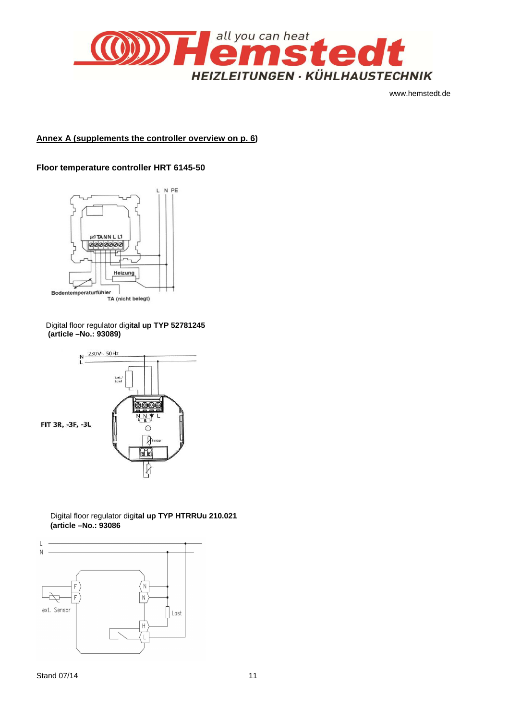

# **Annex A (supplements the controller overview on p. 6)**

# **Floor temperature controller HRT 6145-50**



Digital floor regulator digi**tal up TYP 52781245 (article –No.: 93089)** 



Digital floor regulator digi**tal up TYP HTRRUu 210.021 (article –No.: 93086**